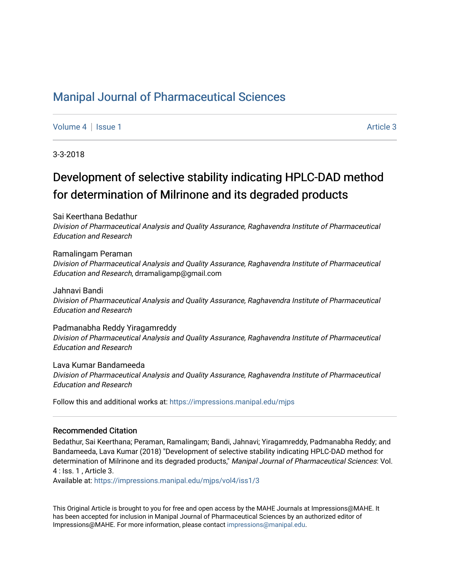## [Manipal Journal of Pharmaceutical Sciences](https://impressions.manipal.edu/mjps)

[Volume 4](https://impressions.manipal.edu/mjps/vol4) | [Issue 1](https://impressions.manipal.edu/mjps/vol4/iss1) Article 3

3-3-2018

# Development of selective stability indicating HPLC-DAD method for determination of Milrinone and its degraded products

Sai Keerthana Bedathur

Division of Pharmaceutical Analysis and Quality Assurance, Raghavendra Institute of Pharmaceutical Education and Research

Ramalingam Peraman

Division of Pharmaceutical Analysis and Quality Assurance, Raghavendra Institute of Pharmaceutical Education and Research, drramaligamp@gmail.com

Jahnavi Bandi Division of Pharmaceutical Analysis and Quality Assurance, Raghavendra Institute of Pharmaceutical Education and Research

Padmanabha Reddy Yiragamreddy Division of Pharmaceutical Analysis and Quality Assurance, Raghavendra Institute of Pharmaceutical Education and Research

Lava Kumar Bandameeda Division of Pharmaceutical Analysis and Quality Assurance, Raghavendra Institute of Pharmaceutical Education and Research

Follow this and additional works at: [https://impressions.manipal.edu/mjps](https://impressions.manipal.edu/mjps?utm_source=impressions.manipal.edu%2Fmjps%2Fvol4%2Fiss1%2F3&utm_medium=PDF&utm_campaign=PDFCoverPages)

### Recommended Citation

Bedathur, Sai Keerthana; Peraman, Ramalingam; Bandi, Jahnavi; Yiragamreddy, Padmanabha Reddy; and Bandameeda, Lava Kumar (2018) "Development of selective stability indicating HPLC-DAD method for determination of Milrinone and its degraded products," Manipal Journal of Pharmaceutical Sciences: Vol. 4 : Iss. 1 , Article 3.

Available at: [https://impressions.manipal.edu/mjps/vol4/iss1/3](https://impressions.manipal.edu/mjps/vol4/iss1/3?utm_source=impressions.manipal.edu%2Fmjps%2Fvol4%2Fiss1%2F3&utm_medium=PDF&utm_campaign=PDFCoverPages)

This Original Article is brought to you for free and open access by the MAHE Journals at Impressions@MAHE. It has been accepted for inclusion in Manipal Journal of Pharmaceutical Sciences by an authorized editor of Impressions@MAHE. For more information, please contact [impressions@manipal.edu](mailto:impressions@manipal.edu).